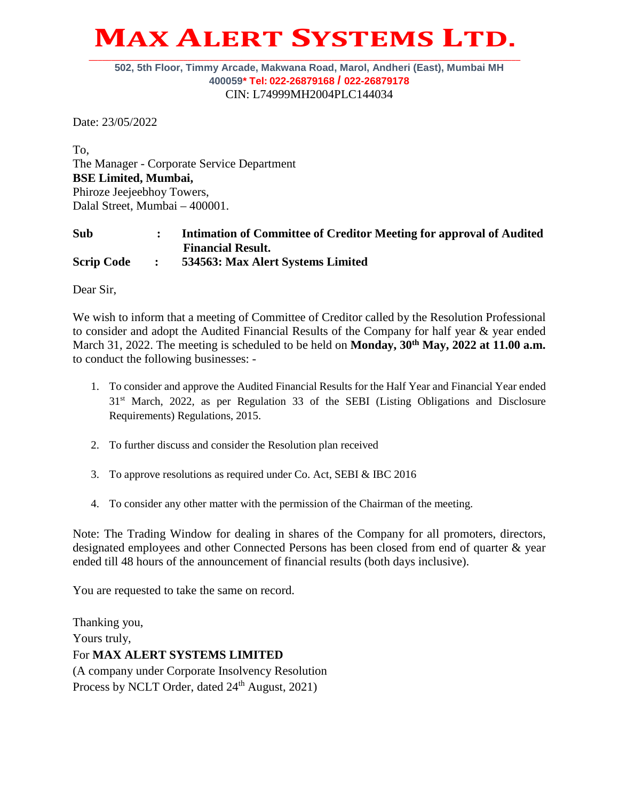## **MAX ALERT SYSTEMS LTD. \_\_\_\_\_\_\_\_\_\_\_\_\_\_\_\_\_\_\_\_\_\_\_\_\_\_\_\_\_\_\_\_\_\_\_\_\_\_\_\_\_\_\_\_\_\_\_\_\_\_\_\_\_\_\_\_\_\_\_\_\_\_\_\_\_\_\_\_\_\_\_\_\_\_\_\_\_\_\_\_\_\_\_\_\_\_\_\_\_\_\_\_\_\_\_\_**

## **502, 5th Floor, Timmy Arcade, Makwana Road, Marol, Andheri (East), Mumbai MH 400059\* Tel: 022-26879168 / 022-26879178** CIN: L74999MH2004PLC144034

Date: 23/05/2022

To, The Manager - Corporate Service Department **BSE Limited, Mumbai,** Phiroze Jeejeebhoy Towers, Dalal Street, Mumbai – 400001.

## **Sub : Intimation of Committee of Creditor Meeting for approval of Audited Financial Result. Scrip Code : 534563: Max Alert Systems Limited**

Dear Sir,

We wish to inform that a meeting of Committee of Creditor called by the Resolution Professional to consider and adopt the Audited Financial Results of the Company for half year & year ended March 31, 2022. The meeting is scheduled to be held on **Monday, 30<sup>th</sup> May, 2022 at 11.00 a.m.** to conduct the following businesses: -

- 1. To consider and approve the Audited Financial Results for the Half Year and Financial Year ended 31st March, 2022, as per Regulation 33 of the SEBI (Listing Obligations and Disclosure Requirements) Regulations, 2015.
- 2. To further discuss and consider the Resolution plan received
- 3. To approve resolutions as required under Co. Act, SEBI & IBC 2016
- 4. To consider any other matter with the permission of the Chairman of the meeting.

Note: The Trading Window for dealing in shares of the Company for all promoters, directors, designated employees and other Connected Persons has been closed from end of quarter & year ended till 48 hours of the announcement of financial results (both days inclusive).

You are requested to take the same on record.

Thanking you, Yours truly, For **MAX ALERT SYSTEMS LIMITED** (A company under Corporate Insolvency Resolution Process by NCLT Order, dated  $24<sup>th</sup>$  August, 2021)